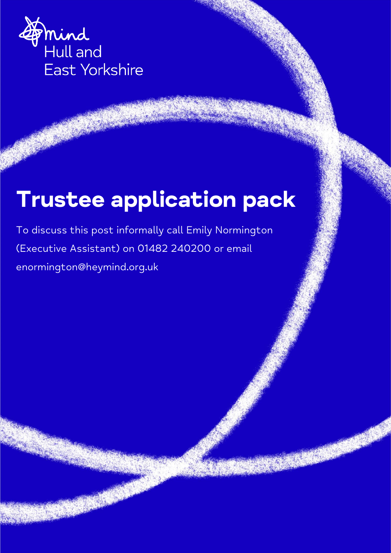

# **Trustee application pack**

To discuss this post informally call Emily Normington (Executive Assistant) on 01482 240200 or email enormington@heymind.org.uk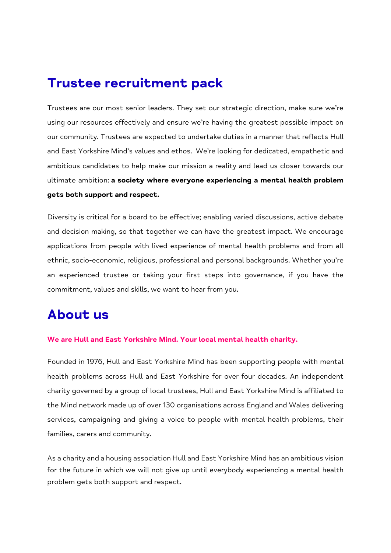# **Trustee recruitment pack**

Trustees are our most senior leaders. They set our strategic direction, make sure we're using our resources effectively and ensure we're having the greatest possible impact on our community. Trustees are expected to undertake duties in a manner that reflects Hull and East Yorkshire Mind's values and ethos. We're looking for dedicated, empathetic and ambitious candidates to help make our mission a reality and lead us closer towards our ultimate ambition: **a society where everyone experiencing a mental health problem gets both support and respect.**

Diversity is critical for a board to be effective; enabling varied discussions, active debate and decision making, so that together we can have the greatest impact. We encourage applications from people with lived experience of mental health problems and from all ethnic, socio-economic, religious, professional and personal backgrounds. Whether you're an experienced trustee or taking your first steps into governance, if you have the commitment, values and skills, we want to hear from you.

# **About us**

#### **We are Hull and East Yorkshire Mind. Your local mental health charity.**

Founded in 1976, Hull and East Yorkshire Mind has been supporting people with mental health problems across Hull and East Yorkshire for over four decades. An independent charity governed by a group of local trustees, Hull and East Yorkshire Mind is affiliated to the Mind network made up of over 130 organisations across England and Wales delivering services, campaigning and giving a voice to people with mental health problems, their families, carers and community.

As a charity and a housing association Hull and East Yorkshire Mind has an ambitious vision for the future in which we will not give up until everybody experiencing a mental health problem gets both support and respect.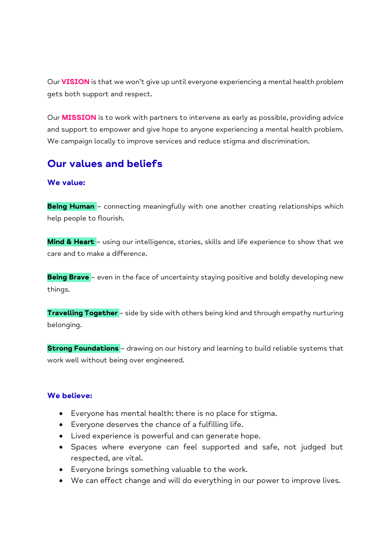Our **VISION** is that we won't give up until everyone experiencing a mental health problem gets both support and respect.

Our **MISSION** is to work with partners to intervene as early as possible, providing advice and support to empower and give hope to anyone experiencing a mental health problem. We campaign locally to improve services and reduce stigma and discrimination.

#### **Our values and beliefs**

#### **We value:**

**Being Human** – connecting meaningfully with one another creating relationships which help people to flourish.

**Mind & Heart** – using our intelligence, stories, skills and life experience to show that we care and to make a difference.

**Being Brave** – even in the face of uncertainty staying positive and boldly developing new things.

**Travelling Together** – side by side with others being kind and through empathy nurturing belonging.

**Strong Foundations** - drawing on our history and learning to build reliable systems that work well without being over engineered.

#### **We believe:**

- Everyone has mental health: there is no place for stigma.
- Everyone deserves the chance of a fulfilling life.
- Lived experience is powerful and can generate hope.
- Spaces where everyone can feel supported and safe, not judged but respected, are vital.
- Everyone brings something valuable to the work.
- We can effect change and will do everything in our power to improve lives.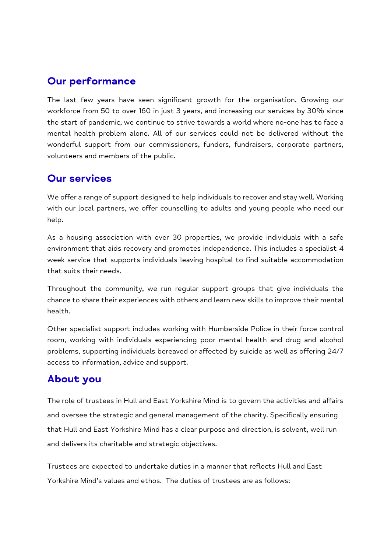### **Our performance**

The last few years have seen significant growth for the organisation. Growing our workforce from 50 to over 160 in just 3 years, and increasing our services by 30% since the start of pandemic, we continue to strive towards a world where no-one has to face a mental health problem alone. All of our services could not be delivered without the wonderful support from our commissioners, funders, fundraisers, corporate partners, volunteers and members of the public.

#### **Our services**

We offer a range of support designed to help individuals to recover and stay well. Working with our local partners, we offer counselling to adults and young people who need our help.

As a housing association with over 30 properties, we provide individuals with a safe environment that aids recovery and promotes independence. This includes a specialist 4 week service that supports individuals leaving hospital to find suitable accommodation that suits their needs.

Throughout the community, we run regular support groups that give individuals the chance to share their experiences with others and learn new skills to improve their mental health.

Other specialist support includes working with Humberside Police in their force control room, working with individuals experiencing poor mental health and drug and alcohol problems, supporting individuals bereaved or affected by suicide as well as offering 24/7 access to information, advice and support.

## About you

The role of trustees in Hull and East Yorkshire Mind is to govern the activities and affairs and oversee the strategic and general management of the charity. Specifically ensuring that Hull and East Yorkshire Mind has a clear purpose and direction, is solvent, well run and delivers its charitable and strategic objectives.

Trustees are expected to undertake duties in a manner that reflects Hull and East Yorkshire Mind's values and ethos. The duties of trustees are as follows: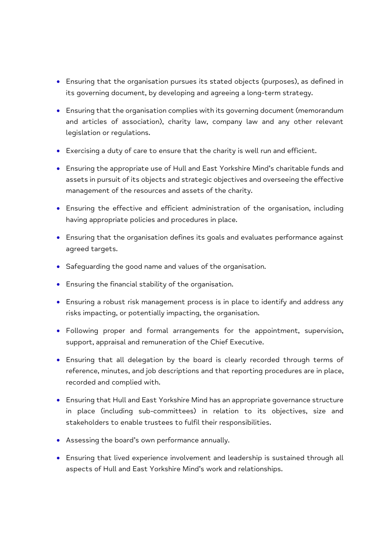- Ensuring that the organisation pursues its stated objects (purposes), as defined in its governing document, by developing and agreeing a long-term strategy.
- Ensuring that the organisation complies with its governing document (memorandum and articles of association), charity law, company law and any other relevant legislation or regulations.
- Exercising a duty of care to ensure that the charity is well run and efficient.
- Ensuring the appropriate use of Hull and East Yorkshire Mind's charitable funds and assets in pursuit of its objects and strategic objectives and overseeing the effective management of the resources and assets of the charity.
- Ensuring the effective and efficient administration of the organisation, including having appropriate policies and procedures in place.
- Ensuring that the organisation defines its goals and evaluates performance against agreed targets.
- Safeguarding the good name and values of the organisation.
- Ensuring the financial stability of the organisation.
- Ensuring a robust risk management process is in place to identify and address any risks impacting, or potentially impacting, the organisation.
- Following proper and formal arrangements for the appointment, supervision, support, appraisal and remuneration of the Chief Executive.
- Ensuring that all delegation by the board is clearly recorded through terms of reference, minutes, and job descriptions and that reporting procedures are in place, recorded and complied with.
- Ensuring that Hull and East Yorkshire Mind has an appropriate governance structure in place (including sub-committees) in relation to its objectives, size and stakeholders to enable trustees to fulfil their responsibilities.
- Assessing the board's own performance annually.
- Ensuring that lived experience involvement and leadership is sustained through all aspects of Hull and East Yorkshire Mind's work and relationships.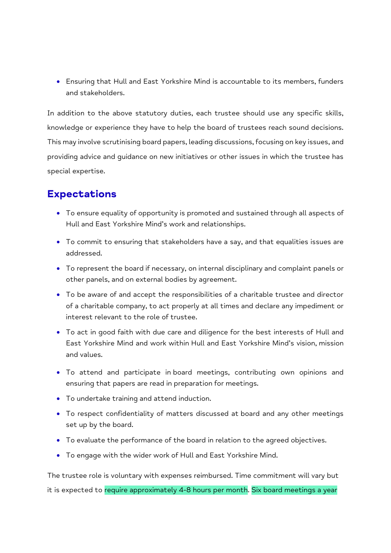Ensuring that Hull and East Yorkshire Mind is accountable to its members, funders and stakeholders.

In addition to the above statutory duties, each trustee should use any specific skills, knowledge or experience they have to help the board of trustees reach sound decisions. This may involve scrutinising board papers, leading discussions, focusing on key issues, and providing advice and guidance on new initiatives or other issues in which the trustee has special expertise.

#### **Expectations**

- To ensure equality of opportunity is promoted and sustained through all aspects of Hull and East Yorkshire Mind's work and relationships.
- To commit to ensuring that stakeholders have a say, and that equalities issues are addressed.
- To represent the board if necessary, on internal disciplinary and complaint panels or other panels, and on external bodies by agreement.
- To be aware of and accept the responsibilities of a charitable trustee and director of a charitable company, to act properly at all times and declare any impediment or interest relevant to the role of trustee.
- To act in good faith with due care and diligence for the best interests of Hull and East Yorkshire Mind and work within Hull and East Yorkshire Mind's vision, mission and values.
- To attend and participate in board meetings, contributing own opinions and ensuring that papers are read in preparation for meetings.
- To undertake training and attend induction.
- To respect confidentiality of matters discussed at board and any other meetings set up by the board.
- To evaluate the performance of the board in relation to the agreed objectives.
- To engage with the wider work of Hull and East Yorkshire Mind.

The trustee role is voluntary with expenses reimbursed. Time commitment will vary but it is expected to require approximately 4-8 hours per month. Six board meetings a year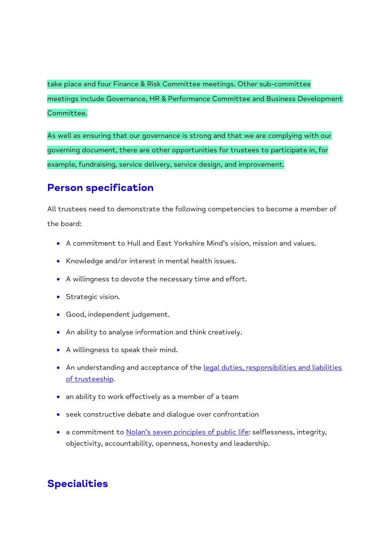take place and four Finance & Risk Committee meetings. Other sub-committee meetings include Governance, HR & Performance Committee and Business Development Committee.

As well as ensuring that our governance is strong and that we are complying with our governing document, there are other opportunities for trustees to participate in, for example, fundraising, service delivery, service design, and improvement.

#### **Person specification**

All trustees need to demonstrate the following competencies to become a member of the board:

- A commitment to Hull and East Yorkshire Mind's vision, mission and values.
- Knowledge and/or interest in mental health issues.
- A willingness to devote the necessary time and effort.
- **•** Strategic vision.
- Good, independent judgement.
- An ability to analyse information and think creatively.
- A willingness to speak their mind.
- An understanding and acceptance of the legal duties, responsibilities and liabilities [of trusteeship.](https://assets.publishing.service.gov.uk/government/uploads/system/uploads/attachment_data/file/734288/CC3_may18.pdf)
- an ability to work effectively as a member of a team
- seek constructive debate and dialogue over confrontation
- a commitment to [Nolan's seven principles of public life](https://www.gov.uk/government/publications/the-7-principles-of-public-life/the-7-principles-of-public-life--2): selflessness, integrity, objectivity, accountability, openness, honesty and leadership.

## **Specialities**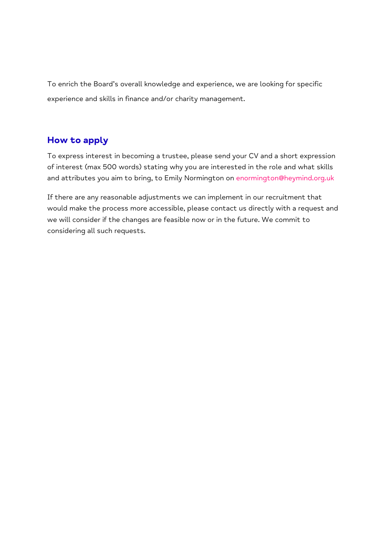To enrich the Board's overall knowledge and experience, we are looking for specific experience and skills in finance and/or charity management.

#### How to apply

To express interest in becoming a trustee, please send your CV and a short expression of interest (max 500 words) stating why you are interested in the role and what skills and attributes you aim to bring, to Emily Normington on [enormington@heymind.org.uk](mailto:enormington@heymind.org.uk) 

If there are any reasonable adjustments we can implement in our recruitment that would make the process more accessible, please contact us directly with a request and we will consider if the changes are feasible now or in the future. We commit to considering all such requests.